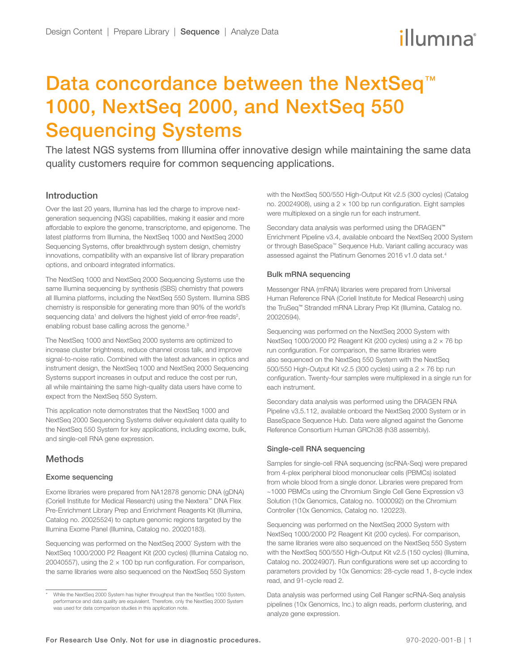# illumına

## Data concordance between the NextSeq<sup>™</sup> 1000, NextSeq 2000, and NextSeq 550 Sequencing Systems

The latest NGS systems from Illumina offer innovative design while maintaining the same data quality customers require for common sequencing applications.

## Introduction

Over the last 20 years, Illumina has led the charge to improve nextgeneration sequencing (NGS) capabilities, making it easier and more affordable to explore the genome, transcriptome, and epigenome. The latest platforms from Illumina, the NextSeq 1000 and NextSeq 2000 Sequencing Systems, offer breakthrough system design, chemistry innovations, compatibility with an expansive list of library preparation options, and onboard integrated informatics.

The NextSeq 1000 and NextSeq 2000 Sequencing Systems use the same Illumina sequencing by synthesis (SBS) chemistry that powers all Illumina platforms, including the NextSeq 550 System. Illumina SBS chemistry is responsible for generating more than 90% of the world's sequencing data<sup>1</sup> and delivers the highest yield of error-free reads<sup>[2](#page-2-1)</sup>, enabling robust base calling across the genome.<sup>3</sup>

The NextSeq 1000 and NextSeq 2000 systems are optimized to increase cluster brightness, reduce channel cross talk, and improve signal-to-noise ratio. Combined with the latest advances in optics and instrument design, the NextSeq 1000 and NextSeq 2000 Sequencing Systems support increases in output and reduce the cost per run, all while maintaining the same high-quality data users have come to expect from the NextSeq 550 System.

This application note demonstrates that the NextSeq 1000 and NextSeq 2000 Sequencing Systems deliver equivalent data quality to the NextSeq 550 System for key applications, including exome, bulk, and single-cell RNA gene expression.

## **Methods**

#### Exome sequencing

Exome libraries were prepared from NA12878 genomic DNA (gDNA) (Coriell Institute for Medical Research) using the Nextera™ DNA Flex Pre-Enrichment Library Prep and Enrichment Reagents Kit (Illumina, Catalog no. 20025524) to capture genomic regions targeted by the Illumina Exome Panel (Illumina, Catalog no. 20020183).

Sequencing was performed on the NextSeq 2000<sup>\*</sup> System with the NextSeq 1000/2000 P2 Reagent Kit (200 cycles) (Illumina Catalog no. 20040557), using the  $2 \times 100$  bp run configuration. For comparison, the same libraries were also sequenced on the NextSeq 550 System

with the NextSeq 500/550 High-Output Kit v2.5 (300 cycles) (Catalog no. 20024908), using a  $2 \times 100$  bp run configuration. Eight samples were multiplexed on a single run for each instrument.

Secondary data analysis was performed using the DRAGEN™ Enrichment Pipeline v3.4, available onboard the NextSeq 2000 System or through BaseSpace™ Sequence Hub. Variant calling accuracy was assessed against the Platinum Genomes 2016 v1.0 data set.[4](#page-2-3)

#### Bulk mRNA sequencing

Messenger RNA (mRNA) libraries were prepared from Universal Human Reference RNA (Coriell Institute for Medical Research) using the TruSeq™ Stranded mRNA Library Prep Kit (Illumina, Catalog no. 20020594).

Sequencing was performed on the NextSeq 2000 System with NextSeq 1000/2000 P2 Reagent Kit (200 cycles) using a 2 × 76 bp run configuration. For comparison, the same libraries were also sequenced on the NextSeq 550 System with the NextSeq 500/550 High-Output Kit v2.5 (300 cycles) using a 2 × 76 bp run configuration. Twenty-four samples were multiplexed in a single run for each instrument.

Secondary data analysis was performed using the DRAGEN RNA Pipeline v3.5.112, available onboard the NextSeq 2000 System or in BaseSpace Sequence Hub. Data were aligned against the Genome Reference Consortium Human GRCh38 (h38 assembly).

#### Single-cell RNA sequencing

Samples for single-cell RNA sequencing (scRNA-Seq) were prepared from 4-plex peripheral blood mononuclear cells (PBMCs) isolated from whole blood from a single donor. Libraries were prepared from ~1000 PBMCs using the Chromium Single Cell Gene Expression v3 Solution (10x Genomics, Catalog no. 1000092) on the Chromium Controller (10x Genomics, Catalog no. 120223).

Sequencing was performed on the NextSeq 2000 System with NextSeq 1000/2000 P2 Reagent Kit (200 cycles). For comparison, the same libraries were also sequenced on the NextSeq 550 System with the NextSeq 500/550 High-Output Kit v2.5 (150 cycles) (Illumina, Catalog no. 20024907). Run configurations were set up according to parameters provided by 10x Genomics: 28-cycle read 1, 8-cycle index read, and 91-cycle read 2.

Data analysis was performed using Cell Ranger scRNA-Seq analysis pipelines (10x Genomics, Inc.) to align reads, perform clustering, and analyze gene expression.

While the NextSeq 2000 System has higher throughput than the NextSeq 1000 System, performance and data quality are equivalent. Therefore, only the NextSeq 2000 System was used for data comparison studies in this application note.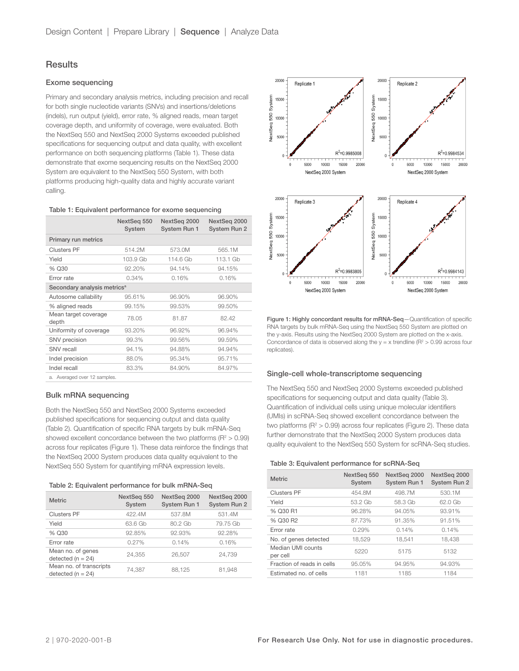### **Results**

#### Exome sequencing

Primary and secondary analysis metrics, including precision and recall for both single nucleotide variants (SNVs) and insertions/deletions (indels), run output (yield), error rate, % aligned reads, mean target coverage depth, and uniformity of coverage, were evaluated. Both the NextSeq 550 and NextSeq 2000 Systems exceeded published specifications for sequencing output and data quality, with excellent performance on both sequencing platforms (Table 1). These data demonstrate that exome sequencing results on the NextSeq 2000 System are equivalent to the NextSeq 550 System, with both platforms producing high-quality data and highly accurate variant calling.

#### Table 1: Equivalent performance for exome sequencing

|                                         | NextSeq 550<br>System | NextSeg 2000<br><b>System Run 1</b> | NextSeg 2000<br><b>System Run 2</b> |  |
|-----------------------------------------|-----------------------|-------------------------------------|-------------------------------------|--|
| Primary run metrics                     |                       |                                     |                                     |  |
| <b>Clusters PF</b>                      | 514.2M                | 573.0M                              | 565.1M                              |  |
| Yield                                   | 103.9 Gb              | 114.6 Gb                            | 113.1 Gb                            |  |
| % Q30                                   | 92.20%                | 94.14%                              | 94.15%                              |  |
| Error rate                              | 0.34%                 | 0.16%                               | 0.16%                               |  |
| Secondary analysis metrics <sup>a</sup> |                       |                                     |                                     |  |
| Autosome callability                    | 95.61%                | 96.90%                              | 96.90%                              |  |
| % aligned reads                         | 99.15%                | 99.53%                              | 99.50%                              |  |
| Mean target coverage<br>depth           | 78.05                 | 81.87                               | 82.42                               |  |
| Uniformity of coverage                  | 93.20%                | 96.92%                              | 96.94%                              |  |
| SNV precision                           | 99.3%                 | 99.56%                              | 99.59%                              |  |
| SNV recall                              | 94.1%                 | 94.88%                              | 94.94%                              |  |
| Indel precision                         | 88.0%                 | 95.34%                              | 95.71%                              |  |
| Indel recall                            | 83.3%                 | 84.90%                              | 84.97%                              |  |
| a. Averaged over 12 samples.            |                       |                                     |                                     |  |

#### Bulk mRNA sequencing

Both the NextSeq 550 and NextSeq 2000 Systems exceeded published specifications for sequencing output and data quality (Table 2). Quantification of specific RNA targets by bulk mRNA-Seq showed excellent concordance between the two platforms ( $R^2 > 0.99$ ) across four replicates (Figure 1). These data reinforce the findings that the NextSeq 2000 System produces data quality equivalent to the NextSeq 550 System for quantifying mRNA expression levels.

| Table 2: Equivalent performance for bulk mRNA-Seq |  |  |  |
|---------------------------------------------------|--|--|--|
|---------------------------------------------------|--|--|--|

| <b>Metric</b>                                    | NextSeg 550<br>System | NextSeq 2000<br>System Run 1 | NextSeq 2000<br><b>System Run 2</b> |
|--------------------------------------------------|-----------------------|------------------------------|-------------------------------------|
| <b>Clusters PF</b>                               | 422.4M                | 537.8M                       | 531.4M                              |
| Yield                                            | 63.6 Gb               | 80.2 Gb                      | 79.75 Gb                            |
| % Q30                                            | 92.85%                | 92.93%                       | 92.28%                              |
| Error rate                                       | 0.27%                 | 0.14%                        | 0.16%                               |
| Mean no. of genes<br>detected ( $n = 24$ )       | 24.355                | 26.507                       | 24.739                              |
| Mean no. of transcripts<br>detected ( $n = 24$ ) | 74,387                | 88,125                       | 81,948                              |



Figure 1: Highly concordant results for mRNA-Seq-Quantification of specific RNA targets by bulk mRNA-Seq using the NextSeq 550 System are plotted on the y-axis. Results using the NextSeq 2000 System are plotted on the x-axis. Concordance of data is observed along the  $y = x$  trendline ( $R^2 > 0.99$  across four replicates).

#### Single-cell whole-transcriptome sequencing

The NextSeq 550 and NextSeq 2000 Systems exceeded published specifications for sequencing output and data quality (Table 3). Quantification of individual cells using unique molecular identifiers (UMIs) in scRNA-Seq showed excellent concordance between the two platforms ( $R^2 > 0.99$ ) across four replicates (Figure 2). These data further demonstrate that the NextSeq 2000 System produces data quality equivalent to the NextSeq 550 System for scRNA-Seq studies.

#### Table 3: Equivalent performance for scRNA-Seq

| <b>Metric</b>                 | NextSeq 550<br>System | NextSeq 2000<br>System Run 1 | NextSeq 2000<br><b>System Run 2</b> |
|-------------------------------|-----------------------|------------------------------|-------------------------------------|
| <b>Clusters PF</b>            | 454.8M                | 498.7M                       | 530.1M                              |
| Yield                         | 53.2 Gb               | 58.3 Gb                      | 62.0 Gb                             |
| % Q30 R1                      | 96.28%                | 94.05%                       | 93.91%                              |
| % Q30 R2                      | 87.73%                | 91.35%                       | 91.51%                              |
| Frror rate                    | 0.29%                 | 0.14%                        | 0.14%                               |
| No. of genes detected         | 18.529                | 18.541                       | 18.438                              |
| Median UMI counts<br>per cell | 5220                  | 5175                         | 5132                                |
| Fraction of reads in cells    | 95.05%                | 94.95%                       | 94.93%                              |
| Estimated no. of cells        | 1181                  | 1185                         | 1184                                |